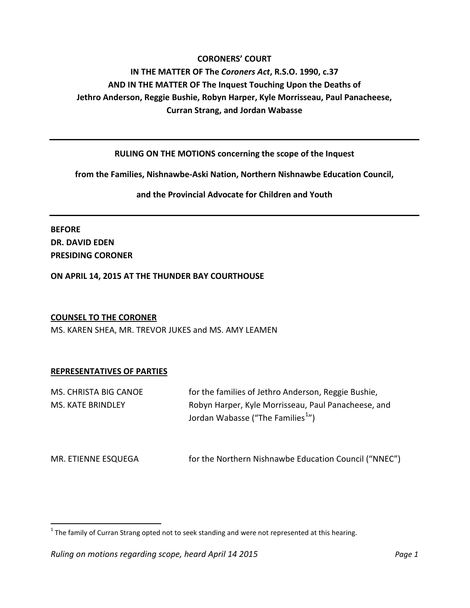#### **CORONERS' COURT**

# **IN THE MATTER OF The** *Coroners Act***, R.S.O. 1990, c.37 AND IN THE MATTER OF The Inquest Touching Upon the Deaths of Jethro Anderson, Reggie Bushie, Robyn Harper, Kyle Morrisseau, Paul Panacheese, Curran Strang, and Jordan Wabasse**

#### **RULING ON THE MOTIONS concerning the scope of the Inquest**

**from the Families, Nishnawbe-Aski Nation, Northern Nishnawbe Education Council,**

**and the Provincial Advocate for Children and Youth**

**BEFORE DR. DAVID EDEN PRESIDING CORONER**

**ON APRIL 14, 2015 AT THE THUNDER BAY COURTHOUSE**

#### **COUNSEL TO THE CORONER**

MS. KAREN SHEA, MR. TREVOR JUKES and MS. AMY LEAMEN

#### **REPRESENTATIVES OF PARTIES**

| MS. CHRISTA BIG CANOE    | for the families of Jethro Anderson, Reggie Bushie,                                                  |
|--------------------------|------------------------------------------------------------------------------------------------------|
| <b>MS. KATE BRINDLEY</b> | Robyn Harper, Kyle Morrisseau, Paul Panacheese, and<br>Jordan Wabasse ("The Families <sup>1</sup> ") |
| MR. ETIENNE ESQUEGA      | for the Northern Nishnawbe Education Council ("NNEC")                                                |

<span id="page-0-0"></span> $1$  The family of Curran Strang opted not to seek standing and were not represented at this hearing.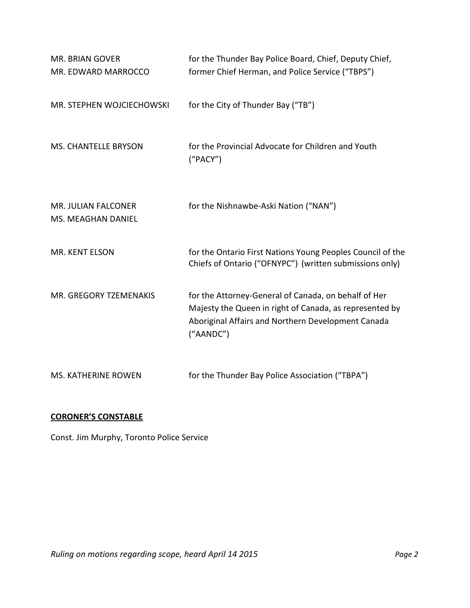| <b>MR. BRIAN GOVER</b><br>MR. EDWARD MARROCCO    | for the Thunder Bay Police Board, Chief, Deputy Chief,<br>former Chief Herman, and Police Service ("TBPS")                                                                         |
|--------------------------------------------------|------------------------------------------------------------------------------------------------------------------------------------------------------------------------------------|
| MR. STEPHEN WOJCIECHOWSKI                        | for the City of Thunder Bay ("TB")                                                                                                                                                 |
| <b>MS. CHANTELLE BRYSON</b>                      | for the Provincial Advocate for Children and Youth<br>("PACY")                                                                                                                     |
| <b>MR. JULIAN FALCONER</b><br>MS. MEAGHAN DANIEL | for the Nishnawbe-Aski Nation ("NAN")                                                                                                                                              |
| MR. KENT ELSON                                   | for the Ontario First Nations Young Peoples Council of the<br>Chiefs of Ontario ("OFNYPC") (written submissions only)                                                              |
| MR. GREGORY TZEMENAKIS                           | for the Attorney-General of Canada, on behalf of Her<br>Majesty the Queen in right of Canada, as represented by<br>Aboriginal Affairs and Northern Development Canada<br>("AANDC") |
| <b>MS. KATHERINE ROWEN</b>                       | for the Thunder Bay Police Association ("TBPA")                                                                                                                                    |

## **CORONER'S CONSTABLE**

Const. Jim Murphy, Toronto Police Service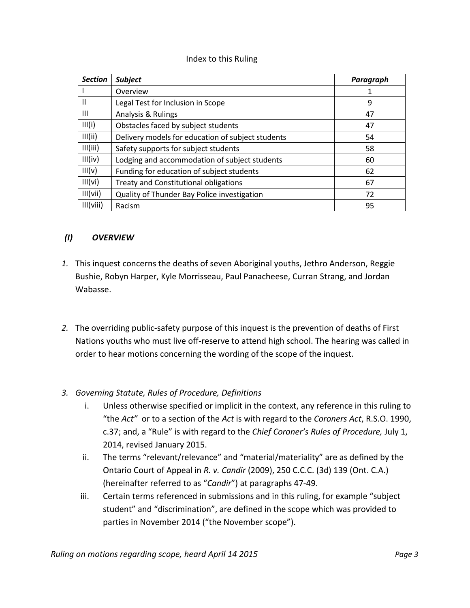#### Index to this Ruling

| <b>Section</b> | <b>Subject</b>                                    | Paragraph |
|----------------|---------------------------------------------------|-----------|
|                | Overview                                          | 1         |
| Ш              | Legal Test for Inclusion in Scope                 | 9         |
| Ш              | Analysis & Rulings                                | 47        |
| III(i)         | Obstacles faced by subject students               | 47        |
| III(ii)        | Delivery models for education of subject students | 54        |
| III(iii)       | Safety supports for subject students              | 58        |
| III(iv)        | Lodging and accommodation of subject students     | 60        |
| III(v)         | Funding for education of subject students         | 62        |
| III(vi)        | Treaty and Constitutional obligations             | 67        |
| III(vii)       | Quality of Thunder Bay Police investigation       | 72        |
| III(viii)      | Racism                                            | 95        |

#### *(I) OVERVIEW*

- *1.* This inquest concerns the deaths of seven Aboriginal youths, Jethro Anderson, Reggie Bushie, Robyn Harper, Kyle Morrisseau, Paul Panacheese, Curran Strang, and Jordan Wabasse.
- *2.* The overriding public-safety purpose of this inquest is the prevention of deaths of First Nations youths who must live off-reserve to attend high school. The hearing was called in order to hear motions concerning the wording of the scope of the inquest.
- *3. Governing Statute, Rules of Procedure, Definitions*
	- i. Unless otherwise specified or implicit in the context, any reference in this ruling to "the *Act"* or to a section of the *Act* is with regard to the *Coroners Act*, R.S.O. 1990, c.37; and, a "Rule" is with regard to the *Chief Coroner's Rules of Procedure,* July 1, 2014, revised January 2015.
	- ii. The terms "relevant/relevance" and "material/materiality" are as defined by the Ontario Court of Appeal in *R. v. Candir* (2009), 250 C.C.C. (3d) 139 (Ont. C.A.) (hereinafter referred to as "*Candir*") at paragraphs 47-49.
	- iii. Certain terms referenced in submissions and in this ruling, for example "subject student" and "discrimination", are defined in the scope which was provided to parties in November 2014 ("the November scope").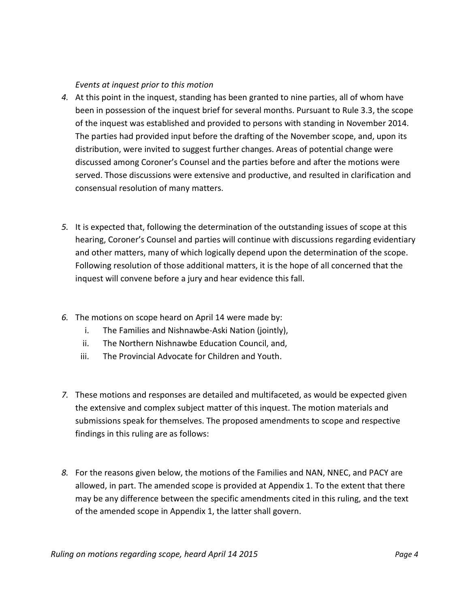#### *Events at inquest prior to this motion*

- *4.* At this point in the inquest, standing has been granted to nine parties, all of whom have been in possession of the inquest brief for several months. Pursuant to Rule 3.3, the scope of the inquest was established and provided to persons with standing in November 2014. The parties had provided input before the drafting of the November scope, and, upon its distribution, were invited to suggest further changes. Areas of potential change were discussed among Coroner's Counsel and the parties before and after the motions were served. Those discussions were extensive and productive, and resulted in clarification and consensual resolution of many matters.
- *5.* It is expected that, following the determination of the outstanding issues of scope at this hearing, Coroner's Counsel and parties will continue with discussions regarding evidentiary and other matters, many of which logically depend upon the determination of the scope. Following resolution of those additional matters, it is the hope of all concerned that the inquest will convene before a jury and hear evidence this fall.
- *6.* The motions on scope heard on April 14 were made by:
	- i. The Families and Nishnawbe-Aski Nation (jointly),
	- ii. The Northern Nishnawbe Education Council, and,
	- iii. The Provincial Advocate for Children and Youth.
- *7.* These motions and responses are detailed and multifaceted, as would be expected given the extensive and complex subject matter of this inquest. The motion materials and submissions speak for themselves. The proposed amendments to scope and respective findings in this ruling are as follows:
- *8.* For the reasons given below, the motions of the Families and NAN, NNEC, and PACY are allowed, in part. The amended scope is provided at Appendix 1. To the extent that there may be any difference between the specific amendments cited in this ruling, and the text of the amended scope in Appendix 1, the latter shall govern.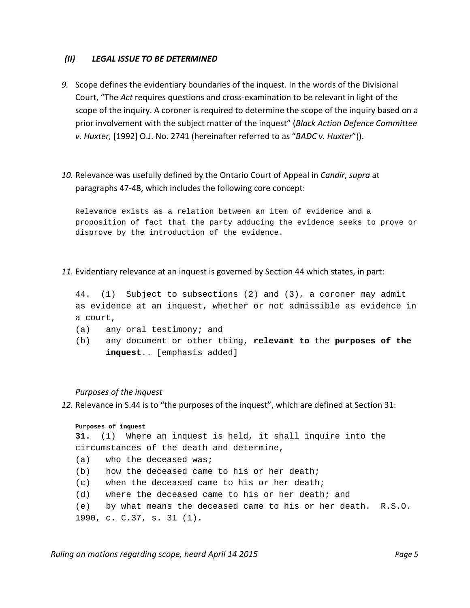#### *(II) LEGAL ISSUE TO BE DETERMINED*

*9.* Scope defines the evidentiary boundaries of the inquest. In the words of the Divisional Court, "The *Act* requires questions and cross-examination to be relevant in light of the scope of the inquiry. A coroner is required to determine the scope of the inquiry based on a prior involvement with the subject matter of the inquest" (*Black Action Defence Committee v. Huxter,* [1992] O.J. No. 2741 (hereinafter referred to as "*BADC v. Huxter*")).

## *10.* Relevance was usefully defined by the Ontario Court of Appeal in *Candir*, *supra* at paragraphs 47-48, which includes the following core concept:

Relevance exists as a relation between an item of evidence and a proposition of fact that the party adducing the evidence seeks to prove or disprove by the introduction of the evidence.

#### *11.* Evidentiary relevance at an inquest is governed by Section 44 which states, in part:

44. [\(1\)](http://www.e-laws.gov.on.ca/html/statutes/french/elaws_statutes_90c37_f.htm#s44s1) Subject to subsections (2) and (3), a coroner may admit as evidence at an inquest, whether or not admissible as evidence in a court,

- (a) any oral testimony; and
- (b) any document or other thing, **relevant to** the **purposes of the inquest**.. [emphasis added]

#### *Purposes of the inquest*

*12.* Relevance in S.44 is to "the purposes of the inquest", which are defined at Section 31:

#### **Purposes of inquest**

**31.** [\(1\)](http://www.e-laws.gov.on.ca/html/statutes/french/elaws_statutes_90c37_f.htm#s31s1) Where an inquest is held, it shall inquire into the circumstances of the death and determine, (a) who the deceased was; (b) how the deceased came to his or her death; (c) when the deceased came to his or her death;

- (d) where the deceased came to his or her death; and
- (e) by what means the deceased came to his or her death. R.S.O.
- 1990, c. C.37, s. 31 (1).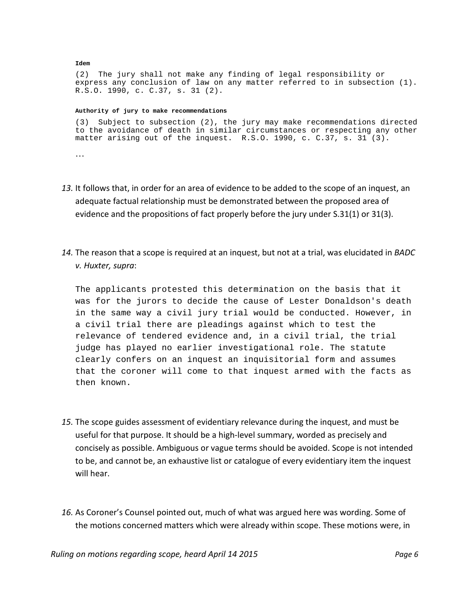[\(2\)](http://www.e-laws.gov.on.ca/html/statutes/french/elaws_statutes_90c37_f.htm#s31s2) The jury shall not make any finding of legal responsibility or express any conclusion of law on any matter referred to in subsection (1). R.S.O. 1990, c. C.37, s. 31 (2).

#### **Authority of jury to make recommendations**

**Idem**

[\(3\)](http://www.e-laws.gov.on.ca/html/statutes/french/elaws_statutes_90c37_f.htm#s31s3) Subject to subsection (2), the jury may make recommendations directed to the avoidance of death in similar circumstances or respecting any other matter arising out of the inquest. R.S.O. 1990, c. C.37, s. 31 (3). …

- *13.* It follows that, in order for an area of evidence to be added to the scope of an inquest, an adequate factual relationship must be demonstrated between the proposed area of evidence and the propositions of fact properly before the jury under S.31(1) or 31(3).
- *14.* The reason that a scope is required at an inquest, but not at a trial, was elucidated in *BADC v. Huxter, supra*:

The applicants protested this determination on the basis that it was for the jurors to decide the cause of Lester Donaldson's death in the same way a civil jury trial would be conducted. However, in a civil trial there are pleadings against which to test the relevance of tendered evidence and, in a civil trial, the trial judge has played no earlier investigational role. The statute clearly confers on an inquest an inquisitorial form and assumes that the coroner will come to that inquest armed with the facts as then known.

- *15.* The scope guides assessment of evidentiary relevance during the inquest, and must be useful for that purpose. It should be a high-level summary, worded as precisely and concisely as possible. Ambiguous or vague terms should be avoided. Scope is not intended to be, and cannot be, an exhaustive list or catalogue of every evidentiary item the inquest will hear.
- *16.* As Coroner's Counsel pointed out, much of what was argued here was wording. Some of the motions concerned matters which were already within scope. These motions were, in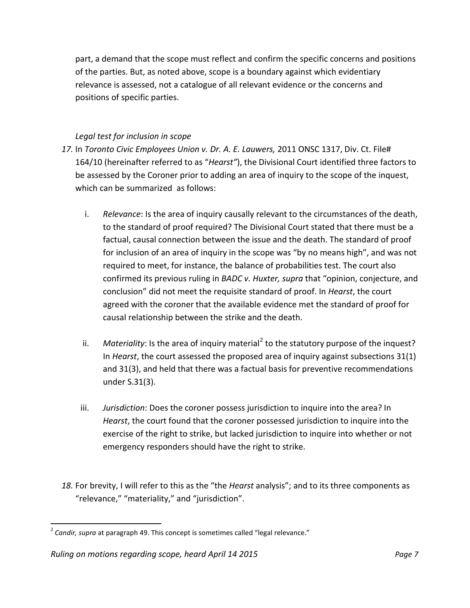part, a demand that the scope must reflect and confirm the specific concerns and positions of the parties. But, as noted above, scope is a boundary against which evidentiary relevance is assessed, not a catalogue of all relevant evidence or the concerns and positions of specific parties.

## *Legal test for inclusion in scope*

- *17.* In *Toronto Civic Employees Union v. Dr. A. E. Lauwers,* 2011 ONSC 1317, Div. Ct. File# 164/10 (hereinafter referred to as "*Hearst"*), the Divisional Court identified three factors to be assessed by the Coroner prior to adding an area of inquiry to the scope of the inquest, which can be summarized as follows:
	- i. *Relevance*: Is the area of inquiry causally relevant to the circumstances of the death, to the standard of proof required? The Divisional Court stated that there must be a factual, causal connection between the issue and the death. The standard of proof for inclusion of an area of inquiry in the scope was "by no means high", and was not required to meet, for instance, the balance of probabilities test. The court also confirmed its previous ruling in *BADC v. Huxter, supra* that "opinion, conjecture, and conclusion" did not meet the requisite standard of proof. In *Hearst*, the court agreed with the coroner that the available evidence met the standard of proof for causal relationship between the strike and the death.
	- ii. Materiality: Is the area of inquiry material<sup>[2](#page-0-0)</sup> to the statutory purpose of the inquest? In *Hearst*, the court assessed the proposed area of inquiry against subsections 31(1) and 31(3), and held that there was a factual basis for preventive recommendations under S.31(3).
	- iii. *Jurisdiction*: Does the coroner possess jurisdiction to inquire into the area? In *Hearst*, the court found that the coroner possessed jurisdiction to inquire into the exercise of the right to strike, but lacked jurisdiction to inquire into whether or not emergency responders should have the right to strike.
- <span id="page-6-0"></span>*18.* For brevity, I will refer to this as the "the *Hearst* analysis"; and to its three components as "relevance," "materiality," and "jurisdiction".

<sup>&</sup>lt;sup>2</sup> Candir, supra at paragraph 49. This concept is sometimes called "legal relevance."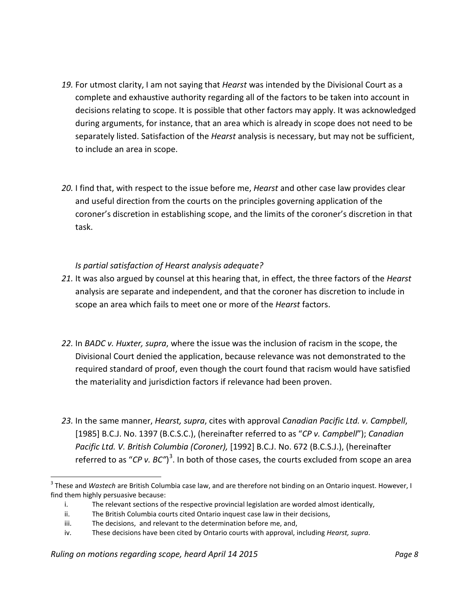- *19.* For utmost clarity, I am not saying that *Hearst* was intended by the Divisional Court as a complete and exhaustive authority regarding all of the factors to be taken into account in decisions relating to scope. It is possible that other factors may apply. It was acknowledged during arguments, for instance, that an area which is already in scope does not need to be separately listed. Satisfaction of the *Hearst* analysis is necessary, but may not be sufficient, to include an area in scope.
- *20.* I find that, with respect to the issue before me, *Hearst* and other case law provides clear and useful direction from the courts on the principles governing application of the coroner's discretion in establishing scope, and the limits of the coroner's discretion in that task.

## *Is partial satisfaction of Hearst analysis adequate?*

- *21.* It was also argued by counsel at this hearing that, in effect, the three factors of the *Hearst* analysis are separate and independent, and that the coroner has discretion to include in scope an area which fails to meet one or more of the *Hearst* factors.
- *22.* In *BADC v. Huxter, supra*, where the issue was the inclusion of racism in the scope, the Divisional Court denied the application, because relevance was not demonstrated to the required standard of proof, even though the court found that racism would have satisfied the materiality and jurisdiction factors if relevance had been proven.
- *23.* In the same manner, *Hearst, supra*, cites with approval *Canadian Pacific Ltd. v. Campbell*, [1985] B.C.J. No. 1397 (B.C.S.C.), (hereinafter referred to as "*CP v. Campbell*"); *Canadian Pacific Ltd. V. British Columbia (Coroner),* [1992] B.C.J. No. 672 (B.C.S.J.), (hereinafter referred to as "CP v. BC")<sup>[3](#page-6-0)</sup>. In both of those cases, the courts excluded from scope an area

<span id="page-7-0"></span> <sup>3</sup> These and *Wastech* are British Columbia case law, and are therefore not binding on an Ontario inquest. However, I find them highly persuasive because:

i. The relevant sections of the respective provincial legislation are worded almost identically,

ii. The British Columbia courts cited Ontario inquest case law in their decisions,

iii. The decisions, and relevant to the determination before me, and,

iv. These decisions have been cited by Ontario courts with approval, including *Hearst, supra*.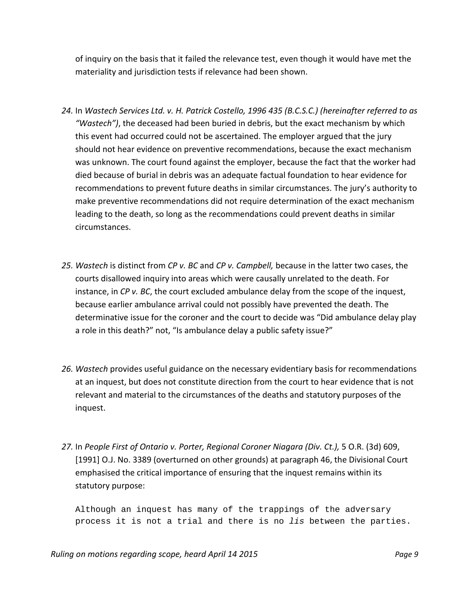of inquiry on the basis that it failed the relevance test, even though it would have met the materiality and jurisdiction tests if relevance had been shown.

- *24.* In *Wastech Services Ltd. v. H. Patrick Costello, 1996 435 (B.C.S.C.) (hereinafter referred to as "Wastech")*, the deceased had been buried in debris, but the exact mechanism by which this event had occurred could not be ascertained. The employer argued that the jury should not hear evidence on preventive recommendations, because the exact mechanism was unknown. The court found against the employer, because the fact that the worker had died because of burial in debris was an adequate factual foundation to hear evidence for recommendations to prevent future deaths in similar circumstances. The jury's authority to make preventive recommendations did not require determination of the exact mechanism leading to the death, so long as the recommendations could prevent deaths in similar circumstances.
- *25. Wastech* is distinct from *CP v. BC* and *CP v. Campbell,* because in the latter two cases, the courts disallowed inquiry into areas which were causally unrelated to the death. For instance, in *CP v. BC*, the court excluded ambulance delay from the scope of the inquest, because earlier ambulance arrival could not possibly have prevented the death. The determinative issue for the coroner and the court to decide was "Did ambulance delay play a role in this death?" not, "Is ambulance delay a public safety issue?"
- *26. Wastech* provides useful guidance on the necessary evidentiary basis for recommendations at an inquest, but does not constitute direction from the court to hear evidence that is not relevant and material to the circumstances of the deaths and statutory purposes of the inquest.
- *27.* In *People First of Ontario v. Porter, Regional Coroner Niagara (Div. Ct.),* 5 O.R. (3d) 609, [1991] O.J. No. 3389 (overturned on other grounds) at paragraph 46, the Divisional Court emphasised the critical importance of ensuring that the inquest remains within its statutory purpose:

Although an inquest has many of the trappings of the adversary process it is not a trial and there is no *lis* between the parties.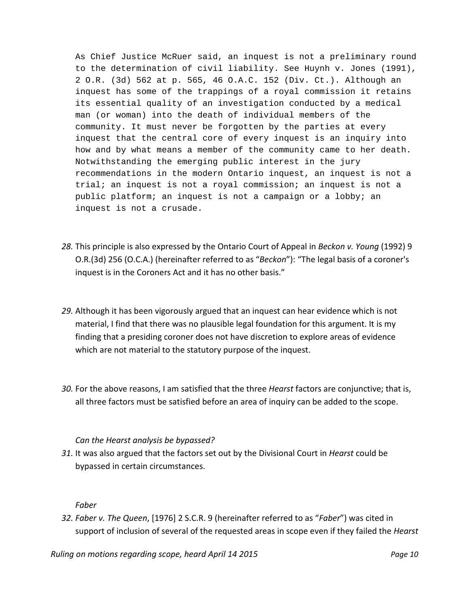As Chief Justice McRuer said, an inquest is not a preliminary round to the determination of civil liability. See Huynh v. Jones (1991), 2 O.R. (3d) 562 at p. 565, 46 O.A.C. 152 (Div. Ct.). Although an inquest has some of the trappings of a royal commission it retains its essential quality of an investigation conducted by a medical man (or woman) into the death of individual members of the community. It must never be forgotten by the parties at every inquest that the central core of every inquest is an inquiry into how and by what means a member of the community came to her death. Notwithstanding the emerging public interest in the jury recommendations in the modern Ontario inquest, an inquest is not a trial; an inquest is not a royal commission; an inquest is not a public platform; an inquest is not a campaign or a lobby; an inquest is not a crusade.

- *28.* This principle is also expressed by the Ontario Court of Appeal in *Beckon v. Young* (1992) 9 O.R.(3d) 256 (O.C.A.) (hereinafter referred to as "*Beckon*"): "The legal basis of a coroner's inquest is in the Coroners Act and it has no other basis."
- *29.* Although it has been vigorously argued that an inquest can hear evidence which is not material, I find that there was no plausible legal foundation for this argument. It is my finding that a presiding coroner does not have discretion to explore areas of evidence which are not material to the statutory purpose of the inquest.
- *30.* For the above reasons, I am satisfied that the three *Hearst* factors are conjunctive; that is, all three factors must be satisfied before an area of inquiry can be added to the scope.

## *Can the Hearst analysis be bypassed?*

*31.* It was also argued that the factors set out by the Divisional Court in *Hearst* could be bypassed in certain circumstances.

#### *Faber*

*32. Faber v. The Queen*, [1976] 2 S.C.R. 9 (hereinafter referred to as "*Faber*") was cited in support of inclusion of several of the requested areas in scope even if they failed the *Hearst* 

*Ruling on motions regarding scope, heard April 14 2015 Page 10*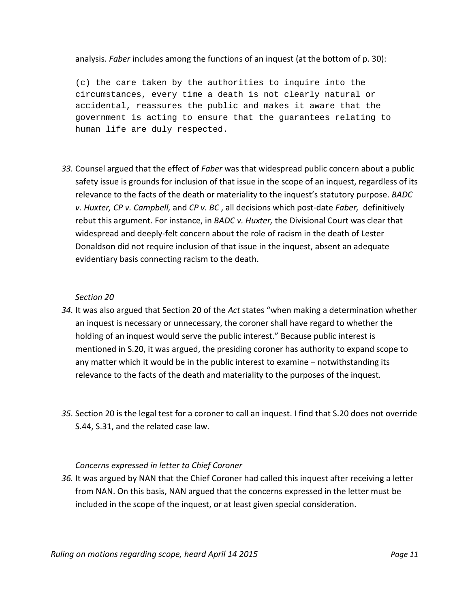analysis. *Faber* includes among the functions of an inquest (at the bottom of p. 30):

(c) the care taken by the authorities to inquire into the circumstances, every time a death is not clearly natural or accidental, reassures the public and makes it aware that the government is acting to ensure that the guarantees relating to human life are duly respected.

*33.* Counsel argued that the effect of *Faber* was that widespread public concern about a public safety issue is grounds for inclusion of that issue in the scope of an inquest, regardless of its relevance to the facts of the death or materiality to the inquest's statutory purpose. *BADC v. Huxter, CP v. Campbell,* and *CP v. BC* , all decisions which post-date *Faber,* definitively rebut this argument. For instance, in *BADC v. Huxter,* the Divisional Court was clear that widespread and deeply-felt concern about the role of racism in the death of Lester Donaldson did not require inclusion of that issue in the inquest, absent an adequate evidentiary basis connecting racism to the death.

#### *Section 20*

- *34.* It was also argued that Section 20 of the *Act* states "when making a determination whether an inquest is necessary or unnecessary, the coroner shall have regard to whether the holding of an inquest would serve the public interest." Because public interest is mentioned in S.20, it was argued, the presiding coroner has authority to expand scope to any matter which it would be in the public interest to examine − notwithstanding its relevance to the facts of the death and materiality to the purposes of the inquest*.*
- *35.* Section 20 is the legal test for a coroner to call an inquest. I find that S.20 does not override S.44, S.31, and the related case law.

#### *Concerns expressed in letter to Chief Coroner*

*36.* It was argued by NAN that the Chief Coroner had called this inquest after receiving a letter from NAN. On this basis, NAN argued that the concerns expressed in the letter must be included in the scope of the inquest, or at least given special consideration.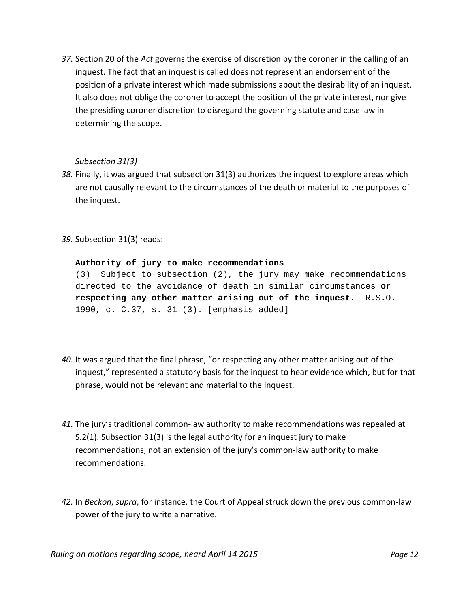*37.* Section 20 of the *Act* governs the exercise of discretion by the coroner in the calling of an inquest. The fact that an inquest is called does not represent an endorsement of the position of a private interest which made submissions about the desirability of an inquest. It also does not oblige the coroner to accept the position of the private interest, nor give the presiding coroner discretion to disregard the governing statute and case law in determining the scope.

#### *Subsection 31(3)*

- *38.* Finally, it was argued that subsection 31(3) authorizes the inquest to explore areas which are not causally relevant to the circumstances of the death or material to the purposes of the inquest.
- *39.* Subsection 31(3) reads:

#### **Authority of jury to make recommendations**

[\(3\)](http://www.e-laws.gov.on.ca/html/statutes/french/elaws_statutes_90c37_f.htm#s31s3) Subject to subsection (2), the jury may make recommendations directed to the avoidance of death in similar circumstances **or respecting any other matter arising out of the inquest**. R.S.O. 1990, c. C.37, s. 31 (3). [emphasis added]

- *40.* It was argued that the final phrase, "or respecting any other matter arising out of the inquest," represented a statutory basis for the inquest to hear evidence which, but for that phrase, would not be relevant and material to the inquest.
- *41.* The jury's traditional common-law authority to make recommendations was repealed at S.2(1). Subsection 31(3) is the legal authority for an inquest jury to make recommendations, not an extension of the jury's common-law authority to make recommendations.
- *42.* In *Beckon*, *supra*, for instance, the Court of Appeal struck down the previous common-law power of the jury to write a narrative.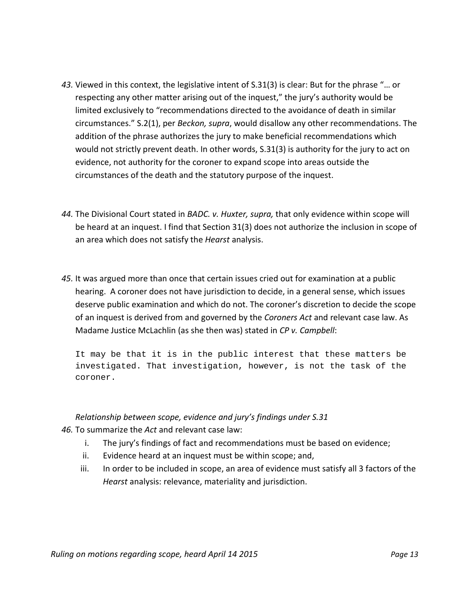- *43.* Viewed in this context, the legislative intent of S.31(3) is clear: But for the phrase "… or respecting any other matter arising out of the inquest," the jury's authority would be limited exclusively to "recommendations directed to the avoidance of death in similar circumstances." S.2(1), per *Beckon, supra*, would disallow any other recommendations. The addition of the phrase authorizes the jury to make beneficial recommendations which would not strictly prevent death. In other words, S.31(3) is authority for the jury to act on evidence, not authority for the coroner to expand scope into areas outside the circumstances of the death and the statutory purpose of the inquest.
- *44.* The Divisional Court stated in *BADC. v. Huxter, supra,* that only evidence within scope will be heard at an inquest. I find that Section 31(3) does not authorize the inclusion in scope of an area which does not satisfy the *Hearst* analysis.
- *45.* It was argued more than once that certain issues cried out for examination at a public hearing. A coroner does not have jurisdiction to decide, in a general sense, which issues deserve public examination and which do not. The coroner's discretion to decide the scope of an inquest is derived from and governed by the *Coroners Act* and relevant case law. As Madame Justice McLachlin (as she then was) stated in *CP v. Campbell*:

It may be that it is in the public interest that these matters be investigated. That investigation, however, is not the task of the coroner.

#### *Relationship between scope, evidence and jury's findings under S.31*

- *46.* To summarize the *Act* and relevant case law:
	- i. The jury's findings of fact and recommendations must be based on evidence;
	- ii. Evidence heard at an inquest must be within scope; and,
	- iii. In order to be included in scope, an area of evidence must satisfy all 3 factors of the *Hearst* analysis: relevance, materiality and jurisdiction.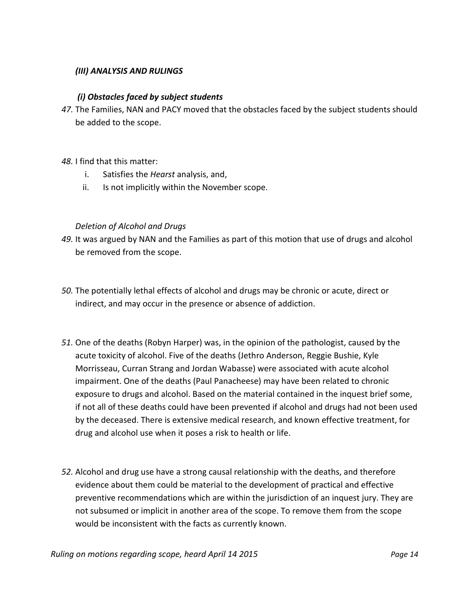#### *(III) ANALYSIS AND RULINGS*

#### *(i) Obstacles faced by subject students*

- *47.* The Families, NAN and PACY moved that the obstacles faced by the subject students should be added to the scope.
- *48.* I find that this matter:
	- i. Satisfies the *Hearst* analysis, and,
	- ii. Is not implicitly within the November scope.

#### *Deletion of Alcohol and Drugs*

- *49.* It was argued by NAN and the Families as part of this motion that use of drugs and alcohol be removed from the scope.
- *50.* The potentially lethal effects of alcohol and drugs may be chronic or acute, direct or indirect, and may occur in the presence or absence of addiction.
- *51.* One of the deaths (Robyn Harper) was, in the opinion of the pathologist, caused by the acute toxicity of alcohol. Five of the deaths (Jethro Anderson, Reggie Bushie, Kyle Morrisseau, Curran Strang and Jordan Wabasse) were associated with acute alcohol impairment. One of the deaths (Paul Panacheese) may have been related to chronic exposure to drugs and alcohol. Based on the material contained in the inquest brief some, if not all of these deaths could have been prevented if alcohol and drugs had not been used by the deceased. There is extensive medical research, and known effective treatment, for drug and alcohol use when it poses a risk to health or life.
- *52.* Alcohol and drug use have a strong causal relationship with the deaths, and therefore evidence about them could be material to the development of practical and effective preventive recommendations which are within the jurisdiction of an inquest jury. They are not subsumed or implicit in another area of the scope. To remove them from the scope would be inconsistent with the facts as currently known.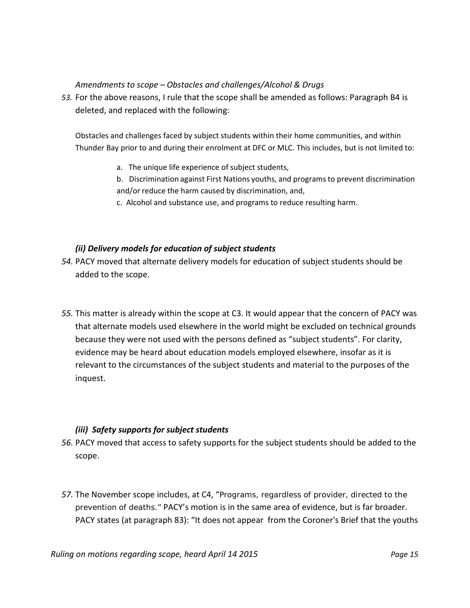#### *Amendments to scope – Obstacles and challenges/Alcohol & Drugs*

*53.* For the above reasons, I rule that the scope shall be amended as follows: Paragraph B4 is deleted, and replaced with the following:

Obstacles and challenges faced by subject students within their home communities, and within Thunder Bay prior to and during their enrolment at DFC or MLC. This includes, but is not limited to:

- a. The unique life experience of subject students,
- b. Discrimination against First Nations youths, and programsto prevent discrimination and/or reduce the harm caused by discrimination, and,
- c. Alcohol and substance use, and programs to reduce resulting harm.

## *(ii) Delivery models for education of subject students*

- *54.* PACY moved that alternate delivery models for education of subject students should be added to the scope.
- *55.* This matter is already within the scope at C3. It would appear that the concern of PACY was that alternate models used elsewhere in the world might be excluded on technical grounds because they were not used with the persons defined as "subject students". For clarity, evidence may be heard about education models employed elsewhere, insofar as it is relevant to the circumstances of the subject students and material to the purposes of the inquest.

## *(iii) Safety supports for subject students*

- *56.* PACY moved that access to safety supports for the subject students should be added to the scope.
- *57.* The November scope includes, at C4, "Programs, regardless of provider, directed to the prevention of deaths." PACY's motion is in the same area of evidence, but is far broader. PACY states (at paragraph 83): "It does not appear from the Coroner's Brief that the youths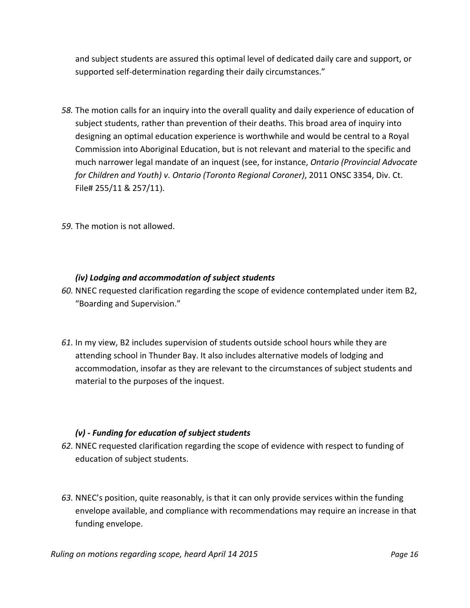and subject students are assured this optimal level of dedicated daily care and support, or supported self-determination regarding their daily circumstances."

*58.* The motion calls for an inquiry into the overall quality and daily experience of education of subject students, rather than prevention of their deaths. This broad area of inquiry into designing an optimal education experience is worthwhile and would be central to a Royal Commission into Aboriginal Education, but is not relevant and material to the specific and much narrower legal mandate of an inquest (see, for instance, *Ontario (Provincial Advocate for Children and Youth) v. Ontario (Toronto Regional Coroner)*, 2011 ONSC 3354, Div. Ct. File# 255/11 & 257/11).

*59.* The motion is not allowed.

#### *(iv) Lodging and accommodation of subject students*

- *60.* NNEC requested clarification regarding the scope of evidence contemplated under item B2, "Boarding and Supervision."
- *61.* In my view, B2 includes supervision of students outside school hours while they are attending school in Thunder Bay. It also includes alternative models of lodging and accommodation, insofar as they are relevant to the circumstances of subject students and material to the purposes of the inquest.

## *(v) - Funding for education of subject students*

- *62.* NNEC requested clarification regarding the scope of evidence with respect to funding of education of subject students.
- *63.* NNEC's position, quite reasonably, is that it can only provide services within the funding envelope available, and compliance with recommendations may require an increase in that funding envelope.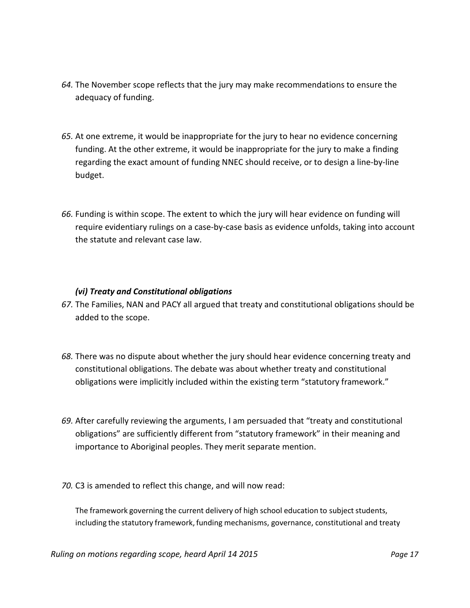- *64.* The November scope reflects that the jury may make recommendations to ensure the adequacy of funding.
- *65.* At one extreme, it would be inappropriate for the jury to hear no evidence concerning funding. At the other extreme, it would be inappropriate for the jury to make a finding regarding the exact amount of funding NNEC should receive, or to design a line-by-line budget.
- *66.* Funding is within scope. The extent to which the jury will hear evidence on funding will require evidentiary rulings on a case-by-case basis as evidence unfolds, taking into account the statute and relevant case law.

#### *(vi) Treaty and Constitutional obligations*

- *67.* The Families, NAN and PACY all argued that treaty and constitutional obligations should be added to the scope.
- *68.* There was no dispute about whether the jury should hear evidence concerning treaty and constitutional obligations. The debate was about whether treaty and constitutional obligations were implicitly included within the existing term "statutory framework."
- *69.* After carefully reviewing the arguments, I am persuaded that "treaty and constitutional obligations" are sufficiently different from "statutory framework" in their meaning and importance to Aboriginal peoples. They merit separate mention.
- *70.* C3 is amended to reflect this change, and will now read:

The framework governing the current delivery of high school education to subject students, including the statutory framework, funding mechanisms, governance, constitutional and treaty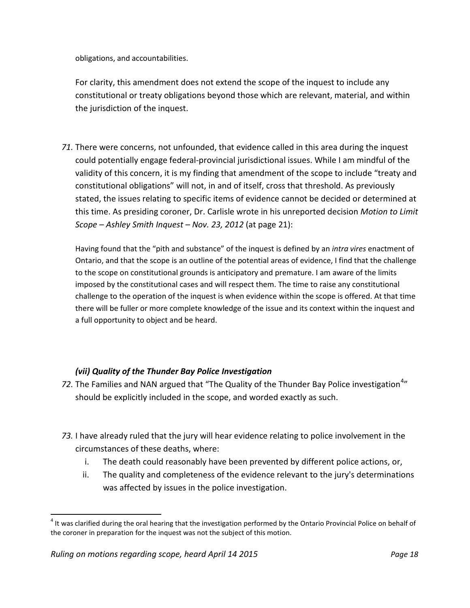obligations, and accountabilities.

For clarity, this amendment does not extend the scope of the inquest to include any constitutional or treaty obligations beyond those which are relevant, material, and within the jurisdiction of the inquest.

*71.* There were concerns, not unfounded, that evidence called in this area during the inquest could potentially engage federal-provincial jurisdictional issues. While I am mindful of the validity of this concern, it is my finding that amendment of the scope to include "treaty and constitutional obligations" will not, in and of itself, cross that threshold. As previously stated, the issues relating to specific items of evidence cannot be decided or determined at this time. As presiding coroner, Dr. Carlisle wrote in his unreported decision *Motion to Limit Scope – Ashley Smith Inquest – Nov. 23, 2012* (at page 21):

Having found that the "pith and substance" of the inquest is defined by an *intra vires* enactment of Ontario, and that the scope is an outline of the potential areas of evidence, I find that the challenge to the scope on constitutional grounds is anticipatory and premature. I am aware of the limits imposed by the constitutional cases and will respect them. The time to raise any constitutional challenge to the operation of the inquest is when evidence within the scope is offered. At that time there will be fuller or more complete knowledge of the issue and its context within the inquest and a full opportunity to object and be heard.

## *(vii) Quality of the Thunder Bay Police Investigation*

- 72. The Families and NAN argued that "The Quality of the Thunder Bay Police investigation<sup>[4](#page-7-0)</sup>" should be explicitly included in the scope, and worded exactly as such.
- *73.* I have already ruled that the jury will hear evidence relating to police involvement in the circumstances of these deaths, where:
	- i. The death could reasonably have been prevented by different police actions, or,
	- ii. The quality and completeness of the evidence relevant to the jury's determinations was affected by issues in the police investigation.

<span id="page-17-0"></span> $<sup>4</sup>$  It was clarified during the oral hearing that the investigation performed by the Ontario Provincial Police on behalf of</sup> the coroner in preparation for the inquest was not the subject of this motion.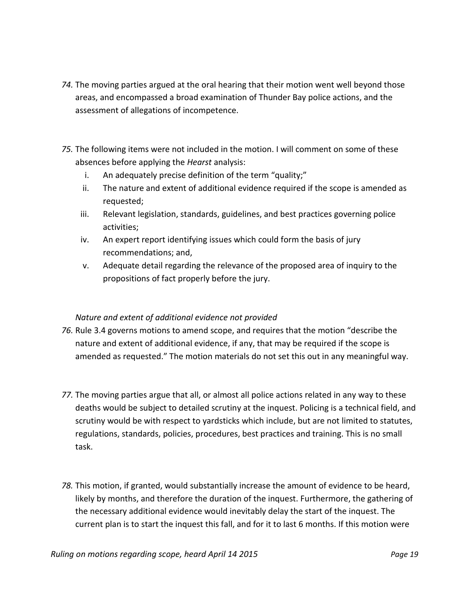- *74.* The moving parties argued at the oral hearing that their motion went well beyond those areas, and encompassed a broad examination of Thunder Bay police actions, and the assessment of allegations of incompetence.
- *75.* The following items were not included in the motion. I will comment on some of these absences before applying the *Hearst* analysis:
	- i. An adequately precise definition of the term "quality;"
	- ii. The nature and extent of additional evidence required if the scope is amended as requested;
	- iii. Relevant legislation, standards, guidelines, and best practices governing police activities;
	- iv. An expert report identifying issues which could form the basis of jury recommendations; and,
	- v. Adequate detail regarding the relevance of the proposed area of inquiry to the propositions of fact properly before the jury.

## *Nature and extent of additional evidence not provided*

- *76.* Rule 3.4 governs motions to amend scope, and requires that the motion "describe the nature and extent of additional evidence, if any, that may be required if the scope is amended as requested." The motion materials do not set this out in any meaningful way.
- *77.* The moving parties argue that all, or almost all police actions related in any way to these deaths would be subject to detailed scrutiny at the inquest. Policing is a technical field, and scrutiny would be with respect to yardsticks which include, but are not limited to statutes, regulations, standards, policies, procedures, best practices and training. This is no small task.
- *78.* This motion, if granted, would substantially increase the amount of evidence to be heard, likely by months, and therefore the duration of the inquest. Furthermore, the gathering of the necessary additional evidence would inevitably delay the start of the inquest. The current plan is to start the inquest this fall, and for it to last 6 months. If this motion were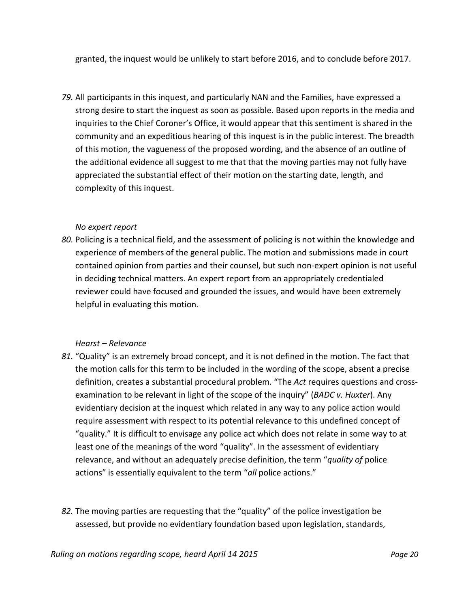granted, the inquest would be unlikely to start before 2016, and to conclude before 2017.

*79.* All participants in this inquest, and particularly NAN and the Families, have expressed a strong desire to start the inquest as soon as possible. Based upon reports in the media and inquiries to the Chief Coroner's Office, it would appear that this sentiment is shared in the community and an expeditious hearing of this inquest is in the public interest. The breadth of this motion, the vagueness of the proposed wording, and the absence of an outline of the additional evidence all suggest to me that that the moving parties may not fully have appreciated the substantial effect of their motion on the starting date, length, and complexity of this inquest.

#### *No expert report*

*80.* Policing is a technical field, and the assessment of policing is not within the knowledge and experience of members of the general public. The motion and submissions made in court contained opinion from parties and their counsel, but such non-expert opinion is not useful in deciding technical matters. An expert report from an appropriately credentialed reviewer could have focused and grounded the issues, and would have been extremely helpful in evaluating this motion.

#### *Hearst – Relevance*

- *81.* "Quality" is an extremely broad concept, and it is not defined in the motion. The fact that the motion calls for this term to be included in the wording of the scope, absent a precise definition, creates a substantial procedural problem. "The *Act* requires questions and crossexamination to be relevant in light of the scope of the inquiry" (*BADC v. Huxter*). Any evidentiary decision at the inquest which related in any way to any police action would require assessment with respect to its potential relevance to this undefined concept of "quality." It is difficult to envisage any police act which does not relate in some way to at least one of the meanings of the word "quality". In the assessment of evidentiary relevance, and without an adequately precise definition, the term "*quality of* police actions" is essentially equivalent to the term "*all* police actions."
- *82.* The moving parties are requesting that the "quality" of the police investigation be assessed, but provide no evidentiary foundation based upon legislation, standards,

*Ruling on motions regarding scope, heard April 14 2015 Page 20*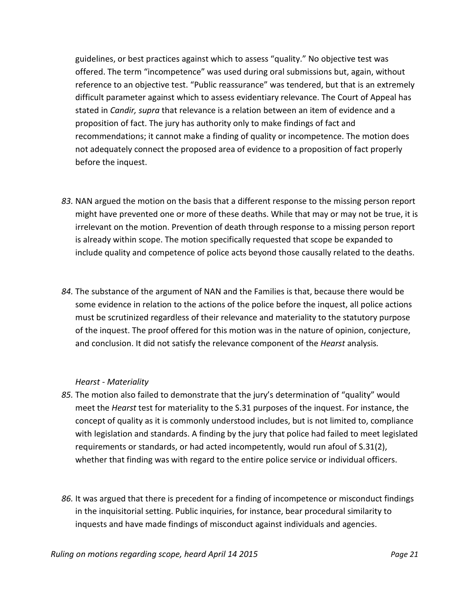guidelines, or best practices against which to assess "quality." No objective test was offered. The term "incompetence" was used during oral submissions but, again, without reference to an objective test. "Public reassurance" was tendered, but that is an extremely difficult parameter against which to assess evidentiary relevance. The Court of Appeal has stated in *Candir, supra* that relevance is a relation between an item of evidence and a proposition of fact. The jury has authority only to make findings of fact and recommendations; it cannot make a finding of quality or incompetence. The motion does not adequately connect the proposed area of evidence to a proposition of fact properly before the inquest.

- *83.* NAN argued the motion on the basis that a different response to the missing person report might have prevented one or more of these deaths. While that may or may not be true, it is irrelevant on the motion. Prevention of death through response to a missing person report is already within scope. The motion specifically requested that scope be expanded to include quality and competence of police acts beyond those causally related to the deaths.
- *84.* The substance of the argument of NAN and the Families is that, because there would be some evidence in relation to the actions of the police before the inquest, all police actions must be scrutinized regardless of their relevance and materiality to the statutory purpose of the inquest. The proof offered for this motion was in the nature of opinion, conjecture, and conclusion. It did not satisfy the relevance component of the *Hearst* analysis*.*

#### *Hearst - Materiality*

- *85.* The motion also failed to demonstrate that the jury's determination of "quality" would meet the *Hearst* test for materiality to the S.31 purposes of the inquest. For instance, the concept of quality as it is commonly understood includes, but is not limited to, compliance with legislation and standards. A finding by the jury that police had failed to meet legislated requirements or standards, or had acted incompetently, would run afoul of S.31(2), whether that finding was with regard to the entire police service or individual officers.
- *86.* It was argued that there is precedent for a finding of incompetence or misconduct findings in the inquisitorial setting. Public inquiries, for instance, bear procedural similarity to inquests and have made findings of misconduct against individuals and agencies.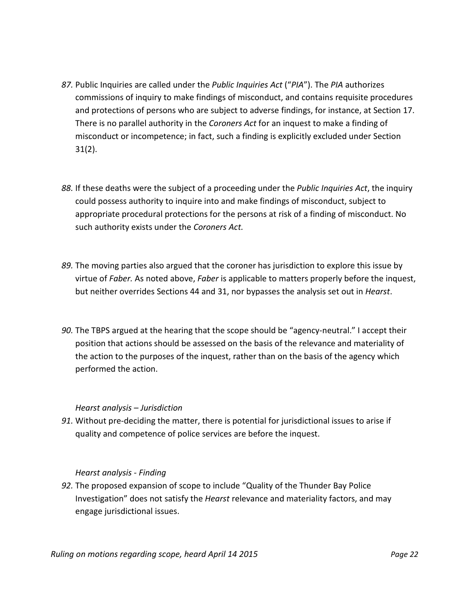- *87.* Public Inquiries are called under the *Public Inquiries Act* ("*PIA*"). The *PIA* authorizes commissions of inquiry to make findings of misconduct, and contains requisite procedures and protections of persons who are subject to adverse findings, for instance, at Section 17. There is no parallel authority in the *Coroners Act* for an inquest to make a finding of misconduct or incompetence; in fact, such a finding is explicitly excluded under Section 31(2).
- *88.* If these deaths were the subject of a proceeding under the *Public Inquiries Act*, the inquiry could possess authority to inquire into and make findings of misconduct, subject to appropriate procedural protections for the persons at risk of a finding of misconduct. No such authority exists under the *Coroners Act.*
- *89.* The moving parties also argued that the coroner has jurisdiction to explore this issue by virtue of *Faber.* As noted above, *Faber* is applicable to matters properly before the inquest, but neither overrides Sections 44 and 31, nor bypasses the analysis set out in *Hearst*.
- *90.* The TBPS argued at the hearing that the scope should be "agency-neutral." I accept their position that actions should be assessed on the basis of the relevance and materiality of the action to the purposes of the inquest, rather than on the basis of the agency which performed the action.

#### *Hearst analysis – Jurisdiction*

*91.* Without pre-deciding the matter, there is potential for jurisdictional issues to arise if quality and competence of police services are before the inquest.

## *Hearst analysis - Finding*

*92.* The proposed expansion of scope to include "Quality of the Thunder Bay Police Investigation" does not satisfy the *Hearst* relevance and materiality factors, and may engage jurisdictional issues.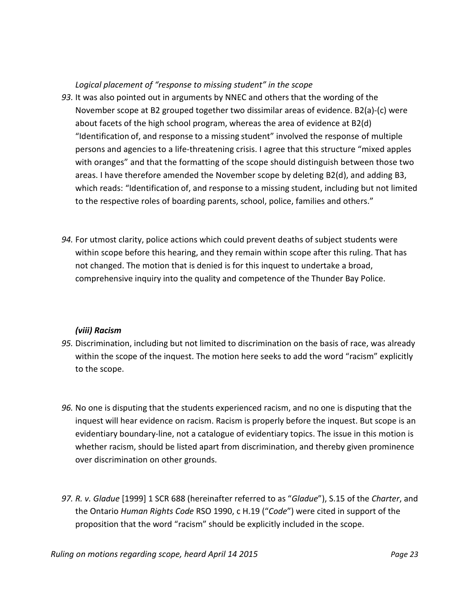## *Logical placement of "response to missing student" in the scope*

- *93.* It was also pointed out in arguments by NNEC and others that the wording of the November scope at B2 grouped together two dissimilar areas of evidence. B2(a)-(c) were about facets of the high school program, whereas the area of evidence at B2(d) "Identification of, and response to a missing student" involved the response of multiple persons and agencies to a life-threatening crisis. I agree that this structure "mixed apples with oranges" and that the formatting of the scope should distinguish between those two areas. I have therefore amended the November scope by deleting B2(d), and adding B3, which reads: "Identification of, and response to a missing student, including but not limited to the respective roles of boarding parents, school, police, families and others."
- *94.* For utmost clarity, police actions which could prevent deaths of subject students were within scope before this hearing, and they remain within scope after this ruling. That has not changed. The motion that is denied is for this inquest to undertake a broad, comprehensive inquiry into the quality and competence of the Thunder Bay Police.

## *(viii) Racism*

- *95.* Discrimination, including but not limited to discrimination on the basis of race, was already within the scope of the inquest. The motion here seeks to add the word "racism" explicitly to the scope.
- *96.* No one is disputing that the students experienced racism, and no one is disputing that the inquest will hear evidence on racism. Racism is properly before the inquest. But scope is an evidentiary boundary-line, not a catalogue of evidentiary topics. The issue in this motion is whether racism, should be listed apart from discrimination, and thereby given prominence over discrimination on other grounds.
- *97. R. v. Gladue* [1999] 1 SCR 688 (hereinafter referred to as "*Gladue*"), S.15 of the *Charter*, and the Ontario *Human Rights Code* RSO 1990, c H.19 ("*Code*") were cited in support of the proposition that the word "racism" should be explicitly included in the scope.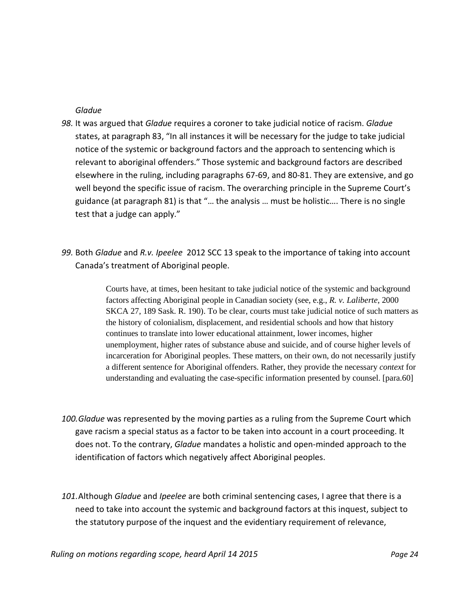#### *Gladue*

- *98.* It was argued that *Gladue* requires a coroner to take judicial notice of racism. *Gladue* states, at paragraph 83, "In all instances it will be necessary for the judge to take judicial notice of the systemic or background factors and the approach to sentencing which is relevant to aboriginal offenders." Those systemic and background factors are described elsewhere in the ruling, including paragraphs 67-69, and 80-81. They are extensive, and go well beyond the specific issue of racism. The overarching principle in the Supreme Court's guidance (at paragraph 81) is that "… the analysis … must be holistic…. There is no single test that a judge can apply."
- *99.* Both *Gladue* and *R.v. Ipeelee* 2012 SCC 13 speak to the importance of taking into account Canada's treatment of Aboriginal people.

Courts have, at times, been hesitant to take judicial notice of the systemic and background factors affecting Aboriginal people in Canadian society (see, e.g., *R. v. Laliberte*, 2000 SKCA 27, 189 Sask. R. 190). To be clear, courts must take judicial notice of such matters as the history of colonialism, displacement, and residential schools and how that history continues to translate into lower educational attainment, lower incomes, higher unemployment, higher rates of substance abuse and suicide, and of course higher levels of incarceration for Aboriginal peoples. These matters, on their own, do not necessarily justify a different sentence for Aboriginal offenders. Rather, they provide the necessary *context* for understanding and evaluating the case-specific information presented by counsel. [para.60]

- *100.Gladue* was represented by the moving parties as a ruling from the Supreme Court which gave racism a special status as a factor to be taken into account in a court proceeding. It does not. To the contrary, *Gladue* mandates a holistic and open-minded approach to the identification of factors which negatively affect Aboriginal peoples.
- *101.*Although *Gladue* and *Ipeelee* are both criminal sentencing cases, I agree that there is a need to take into account the systemic and background factors at this inquest, subject to the statutory purpose of the inquest and the evidentiary requirement of relevance,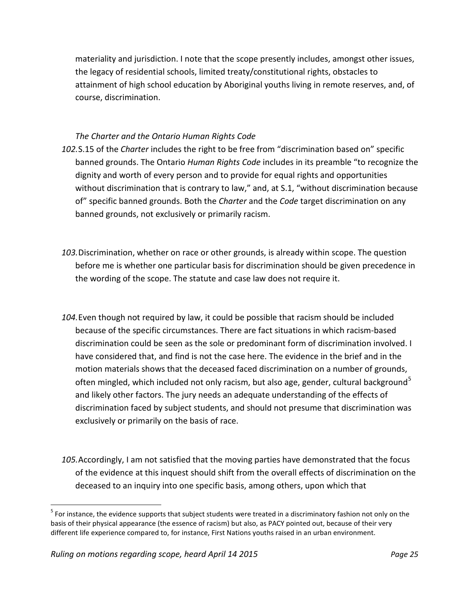materiality and jurisdiction. I note that the scope presently includes, amongst other issues, the legacy of residential schools, limited treaty/constitutional rights, obstacles to attainment of high school education by Aboriginal youths living in remote reserves, and, of course, discrimination.

## *The Charter and the Ontario Human Rights Code*

- *102.*S.15 of the *Charter* includes the right to be free from "discrimination based on" specific banned grounds. The Ontario *Human Rights Code* includes in its preamble "to recognize the dignity and worth of every person and to provide for equal rights and opportunities without discrimination that is contrary to law," and, at S.1, "without discrimination because of" specific banned grounds. Both the *Charter* and the *Code* target discrimination on any banned grounds, not exclusively or primarily racism.
- *103.*Discrimination, whether on race or other grounds, is already within scope. The question before me is whether one particular basis for discrimination should be given precedence in the wording of the scope. The statute and case law does not require it.
- *104.*Even though not required by law, it could be possible that racism should be included because of the specific circumstances. There are fact situations in which racism-based discrimination could be seen as the sole or predominant form of discrimination involved. I have considered that, and find is not the case here. The evidence in the brief and in the motion materials shows that the deceased faced discrimination on a number of grounds, often mingled, which included not only racism, but also age, gender, cultural background<sup>[5](#page-17-0)</sup> and likely other factors. The jury needs an adequate understanding of the effects of discrimination faced by subject students, and should not presume that discrimination was exclusively or primarily on the basis of race.
- *105.*Accordingly, I am not satisfied that the moving parties have demonstrated that the focus of the evidence at this inquest should shift from the overall effects of discrimination on the deceased to an inquiry into one specific basis, among others, upon which that

 $<sup>5</sup>$  For instance, the evidence supports that subject students were treated in a discriminatory fashion not only on the</sup> basis of their physical appearance (the essence of racism) but also, as PACY pointed out, because of their very different life experience compared to, for instance, First Nations youths raised in an urban environment.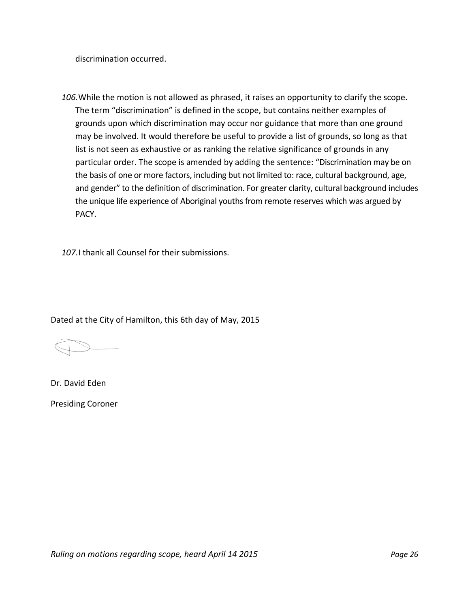discrimination occurred.

*106.*While the motion is not allowed as phrased, it raises an opportunity to clarify the scope. The term "discrimination" is defined in the scope, but contains neither examples of grounds upon which discrimination may occur nor guidance that more than one ground may be involved. It would therefore be useful to provide a list of grounds, so long as that list is not seen as exhaustive or as ranking the relative significance of grounds in any particular order. The scope is amended by adding the sentence: "Discrimination may be on the basis of one or more factors, including but not limited to: race, cultural background, age, and gender" to the definition of discrimination. For greater clarity, cultural background includes the unique life experience of Aboriginal youths from remote reserves which was argued by PACY.

*107.*I thank all Counsel for their submissions.

Dated at the City of Hamilton, this 6th day of May, 2015

Dr. David Eden Presiding Coroner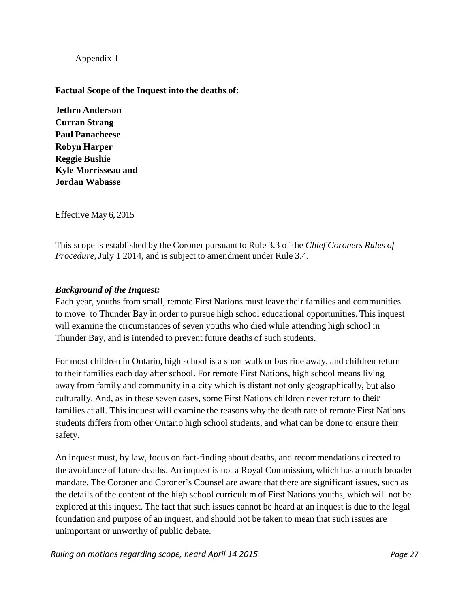Appendix 1

**Factual Scope of the Inquest into the deaths of:**

**Jethro Anderson Curran Strang Paul Panacheese Robyn Harper Reggie Bushie Kyle Morrisseau and Jordan Wabasse**

Effective May 6, 2015

This scope is established by the Coroner pursuant to Rule 3.3 of the *Chief Coroners Rules of Procedure*, July 1 2014, and is subject to amendment under Rule 3.4.

## *Background of the Inquest:*

Each year, youths from small, remote First Nations must leave their families and communities to move to Thunder Bay in order to pursue high school educational opportunities. This inquest will examine the circumstances of seven youths who died while attending high school in Thunder Bay, and is intended to prevent future deaths of such students.

For most children in Ontario, high school is a short walk or bus ride away, and children return to their families each day after school. For remote First Nations, high school means living away from family and community in a city which is distant not only geographically, but also culturally. And, as in these seven cases, some First Nations children never return to their families at all. This inquest will examine the reasons why the death rate of remote First Nations students differs from other Ontario high school students, and what can be done to ensure their safety.

An inquest must, by law, focus on fact-finding about deaths, and recommendations directed to the avoidance of future deaths. An inquest is not a Royal Commission, which has a much broader mandate. The Coroner and Coroner's Counsel are aware that there are significant issues, such as the details of the content of the high school curriculum of First Nations youths, which will not be explored at this inquest. The fact that such issues cannot be heard at an inquest is due to the legal foundation and purpose of an inquest, and should not be taken to mean that such issues are unimportant or unworthy of public debate.

*Ruling on motions regarding scope, heard April 14 2015 Page 27*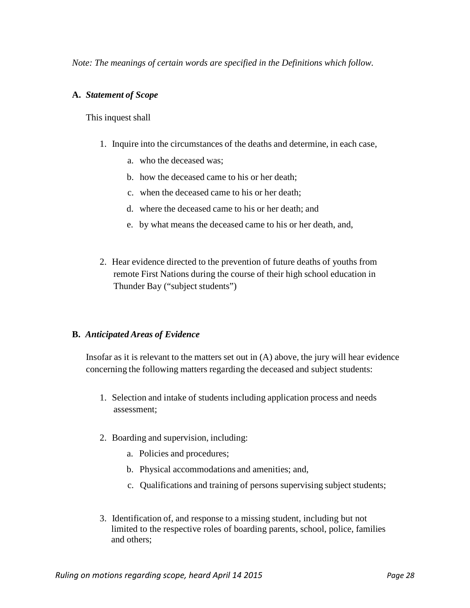*Note: The meanings of certain words are specified in the Definitions which follow.*

#### **A.** *Statement of Scope*

#### This inquest shall

- 1. Inquire into the circumstances of the deaths and determine, in each case,
	- a. who the deceased was;
	- b. how the deceased came to his or her death;
	- c. when the deceased came to his or her death;
	- d. where the deceased came to his or her death; and
	- e. by what means the deceased came to his or her death, and,
- 2. Hear evidence directed to the prevention of future deaths of youths from remote First Nations during the course of their high school education in Thunder Bay ("subject students")

#### **B.** *Anticipated Areas of Evidence*

Insofar as it is relevant to the matters set out in (A) above, the jury will hear evidence concerning the following matters regarding the deceased and subject students:

- 1. Selection and intake of students including application process and needs assessment;
- 2. Boarding and supervision, including:
	- a. Policies and procedures;
	- b. Physical accommodations and amenities; and,
	- c. Qualifications and training of persons supervising subject students;
- 3. Identification of, and response to a missing student, including but not limited to the respective roles of boarding parents, school, police, families and others;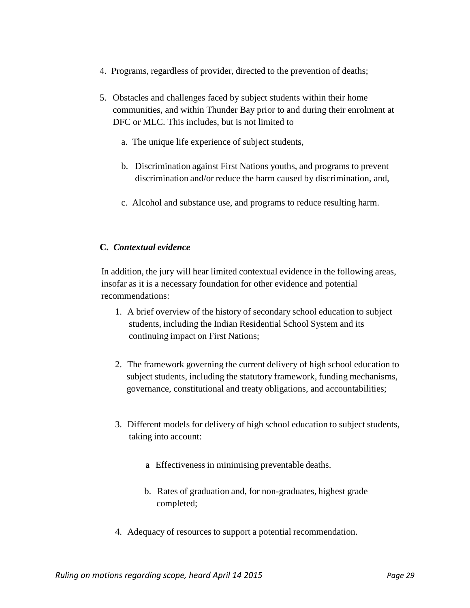- 4. Programs, regardless of provider, directed to the prevention of deaths;
- 5. Obstacles and challenges faced by subject students within their home communities, and within Thunder Bay prior to and during their enrolment at DFC or MLC. This includes, but is not limited to
	- a. The unique life experience of subject students,
	- b. Discrimination against First Nations youths, and programs to prevent discrimination and/or reduce the harm caused by discrimination, and,
	- c. Alcohol and substance use, and programs to reduce resulting harm.

## **C.** *Contextual evidence*

In addition, the jury will hear limited contextual evidence in the following areas, insofar as it is a necessary foundation for other evidence and potential recommendations:

- 1. A brief overview of the history of secondary school education to subject students, including the Indian Residential School System and its continuing impact on First Nations;
- 2. The framework governing the current delivery of high school education to subject students, including the statutory framework, funding mechanisms, governance, constitutional and treaty obligations, and accountabilities;
- 3. Different models for delivery of high school education to subject students, taking into account:
	- a Effectiveness in minimising preventable deaths.
	- b. Rates of graduation and, for non-graduates, highest grade completed;
- 4. Adequacy of resources to support a potential recommendation.